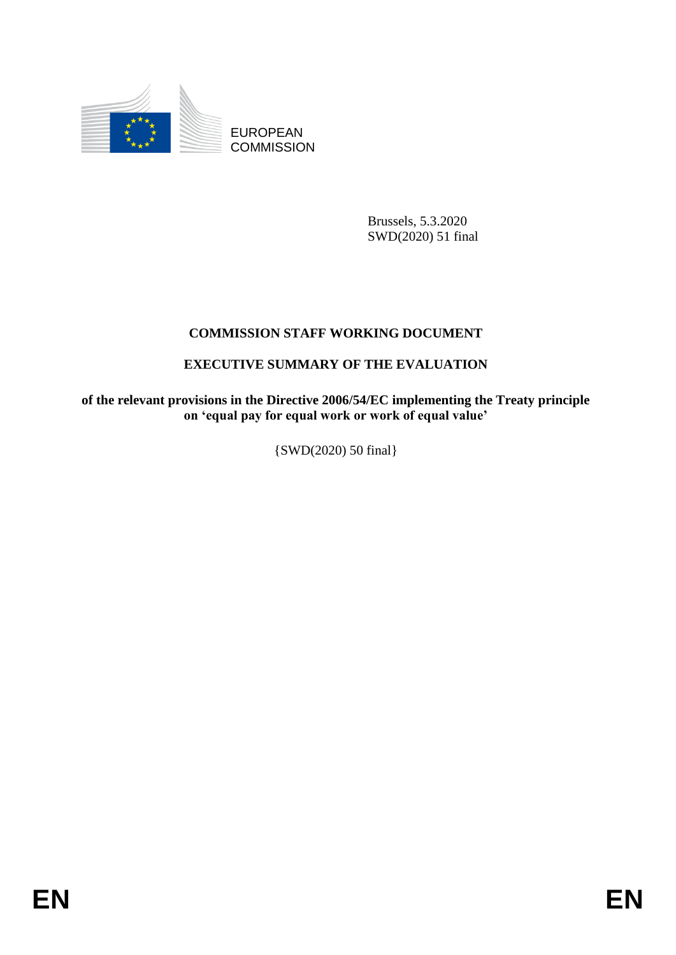

EUROPEAN **COMMISSION** 

> Brussels, 5.3.2020 SWD(2020) 51 final

## **COMMISSION STAFF WORKING DOCUMENT**

## **EXECUTIVE SUMMARY OF THE EVALUATION**

**of the relevant provisions in the Directive 2006/54/EC implementing the Treaty principle on 'equal pay for equal work or work of equal value'**

{SWD(2020) 50 final}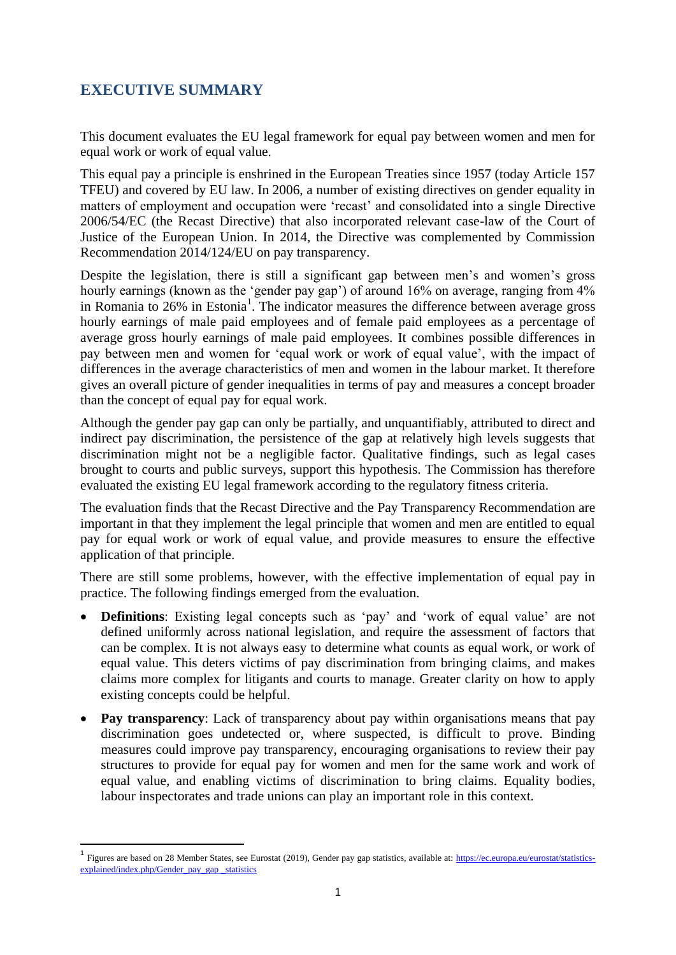## **EXECUTIVE SUMMARY**

**.** 

This document evaluates the EU legal framework for equal pay between women and men for equal work or work of equal value.

This equal pay a principle is enshrined in the European Treaties since 1957 (today Article 157 TFEU) and covered by EU law. In 2006, a number of existing directives on gender equality in matters of employment and occupation were 'recast' and consolidated into a single Directive 2006/54/EC (the Recast Directive) that also incorporated relevant case-law of the Court of Justice of the European Union. In 2014, the Directive was complemented by Commission Recommendation 2014/124/EU on pay transparency.

Despite the legislation, there is still a significant gap between men's and women's gross hourly earnings (known as the 'gender pay gap') of around 16% on average, ranging from 4% in Romania to 26% in Estonia<sup>1</sup>. The indicator measures the difference between average gross hourly earnings of male paid employees and of female paid employees as a percentage of average gross hourly earnings of male paid employees. It combines possible differences in pay between men and women for 'equal work or work of equal value', with the impact of differences in the average characteristics of men and women in the labour market. It therefore gives an overall picture of gender inequalities in terms of pay and measures a concept broader than the concept of equal pay for equal work.

Although the gender pay gap can only be partially, and unquantifiably, attributed to direct and indirect pay discrimination, the persistence of the gap at relatively high levels suggests that discrimination might not be a negligible factor. Qualitative findings, such as legal cases brought to courts and public surveys, support this hypothesis. The Commission has therefore evaluated the existing EU legal framework according to the regulatory fitness criteria.

The evaluation finds that the Recast Directive and the Pay Transparency Recommendation are important in that they implement the legal principle that women and men are entitled to equal pay for equal work or work of equal value, and provide measures to ensure the effective application of that principle.

There are still some problems, however, with the effective implementation of equal pay in practice. The following findings emerged from the evaluation.

- **Definitions**: Existing legal concepts such as 'pay' and 'work of equal value' are not defined uniformly across national legislation, and require the assessment of factors that can be complex. It is not always easy to determine what counts as equal work, or work of equal value. This deters victims of pay discrimination from bringing claims, and makes claims more complex for litigants and courts to manage. Greater clarity on how to apply existing concepts could be helpful.
- **Pay transparency**: Lack of transparency about pay within organisations means that pay discrimination goes undetected or, where suspected, is difficult to prove. Binding measures could improve pay transparency, encouraging organisations to review their pay structures to provide for equal pay for women and men for the same work and work of equal value, and enabling victims of discrimination to bring claims. Equality bodies, labour inspectorates and trade unions can play an important role in this context.

<sup>&</sup>lt;sup>1</sup> Figures are based on 28 Member States, see Eurostat (2019), Gender pay gap statistics, available at: [https://ec.europa.eu/eurostat/statistics](https://ec.europa.eu/eurostat/statistics-explained/index.php/Gender_pay_gap%20_statistics)[explained/index.php/Gender\\_pay\\_gap \\_statistics](https://ec.europa.eu/eurostat/statistics-explained/index.php/Gender_pay_gap%20_statistics)